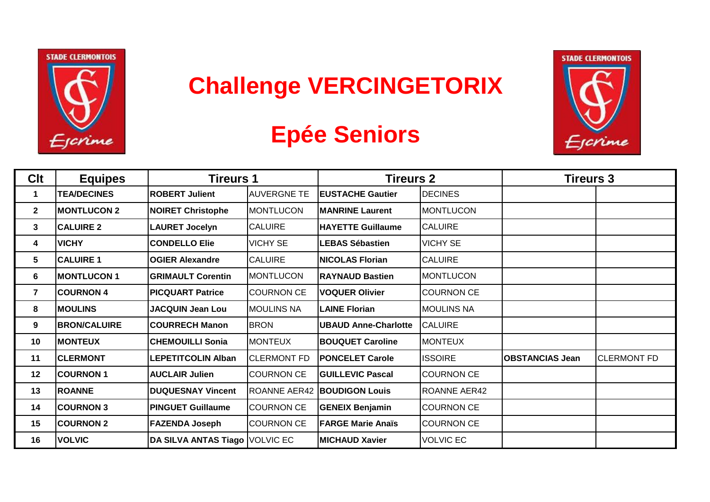

# **Challenge VERCINGETORIX**

# **Epée Seniors**



| <b>Clt</b>   | <b>Equipes</b>      | <b>Tireurs 1</b>               |                     | <b>Tireurs 2</b>            |                     | <b>Tireurs 3</b>       |                    |
|--------------|---------------------|--------------------------------|---------------------|-----------------------------|---------------------|------------------------|--------------------|
| 1            | <b>TEA/DECINES</b>  | <b>ROBERT Julient</b>          | <b>AUVERGNE TE</b>  | <b>EUSTACHE Gautier</b>     | <b>DECINES</b>      |                        |                    |
| $\mathbf{2}$ | <b>MONTLUCON 2</b>  | <b>NOIRET Christophe</b>       | MONTLUCON           | <b>MANRINE Laurent</b>      | <b>MONTLUCON</b>    |                        |                    |
| 3            | <b>CALUIRE 2</b>    | <b>LAURET Jocelyn</b>          | <b>CALUIRE</b>      | <b>HAYETTE Guillaume</b>    | <b>CALUIRE</b>      |                        |                    |
| 4            | <b>VICHY</b>        | <b>CONDELLO Elie</b>           | <b>VICHY SE</b>     | <b>LEBAS Sébastien</b>      | <b>VICHY SE</b>     |                        |                    |
| 5            | <b>CALUIRE 1</b>    | <b>OGIER Alexandre</b>         | <b>CALUIRE</b>      | <b>NICOLAS Florian</b>      | <b>CALUIRE</b>      |                        |                    |
| 6            | <b>IMONTLUCON 1</b> | <b>GRIMAULT Corentin</b>       | <b>MONTLUCON</b>    | <b>RAYNAUD Bastien</b>      | <b>IMONTLUCON</b>   |                        |                    |
| 7            | <b>ICOURNON 4</b>   | <b>PICQUART Patrice</b>        | <b>COURNON CE</b>   | <b>VOQUER Olivier</b>       | <b>COURNON CE</b>   |                        |                    |
| 8            | <b>MOULINS</b>      | <b>JACQUIN Jean Lou</b>        | <b>MOULINS NA</b>   | <b>LAINE Florian</b>        | <b>MOULINS NA</b>   |                        |                    |
| 9            | <b>BRON/CALUIRE</b> | <b>COURRECH Manon</b>          | <b>BRON</b>         | <b>UBAUD Anne-Charlotte</b> | <b>CALUIRE</b>      |                        |                    |
| 10           | <b>MONTEUX</b>      | <b>CHEMOUILLI Sonia</b>        | <b>MONTEUX</b>      | <b>BOUQUET Caroline</b>     | <b>MONTEUX</b>      |                        |                    |
| 11           | <b>CLERMONT</b>     | <b>LEPETITCOLIN Alban</b>      | <b>CLERMONT FD</b>  | <b>PONCELET Carole</b>      | <b>ISSOIRE</b>      | <b>OBSTANCIAS Jean</b> | <b>CLERMONT FD</b> |
| 12           | <b>COURNON 1</b>    | <b>AUCLAIR Julien</b>          | <b>COURNON CE</b>   | <b>GUILLEVIC Pascal</b>     | <b>COURNON CE</b>   |                        |                    |
| 13           | <b>ROANNE</b>       | <b>DUQUESNAY Vincent</b>       | <b>ROANNE AER42</b> | <b>BOUDIGON Louis</b>       | <b>ROANNE AER42</b> |                        |                    |
| 14           | <b>COURNON 3</b>    | <b>PINGUET Guillaume</b>       | COURNON CE          | <b>GENEIX Benjamin</b>      | <b>COURNON CE</b>   |                        |                    |
| 15           | <b>COURNON 2</b>    | <b>FAZENDA Joseph</b>          | <b>COURNON CE</b>   | <b>FARGE Marie Anaïs</b>    | COURNON CE          |                        |                    |
| 16           | <b>VOLVIC</b>       | DA SILVA ANTAS Tiago VOLVIC EC |                     | <b>MICHAUD Xavier</b>       | <b>VOLVIC EC</b>    |                        |                    |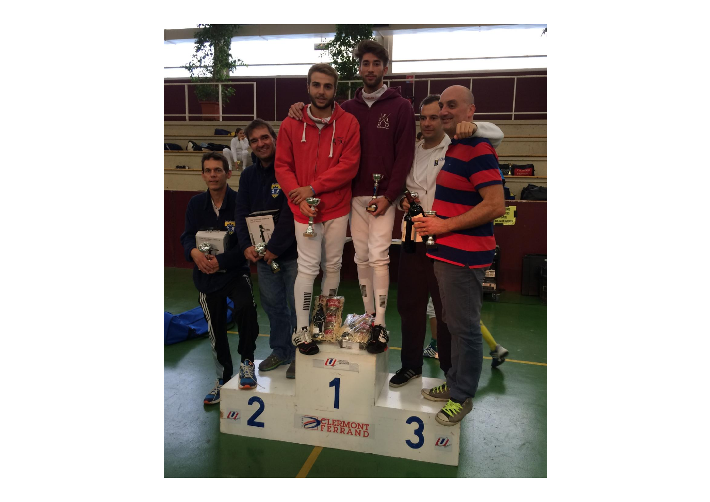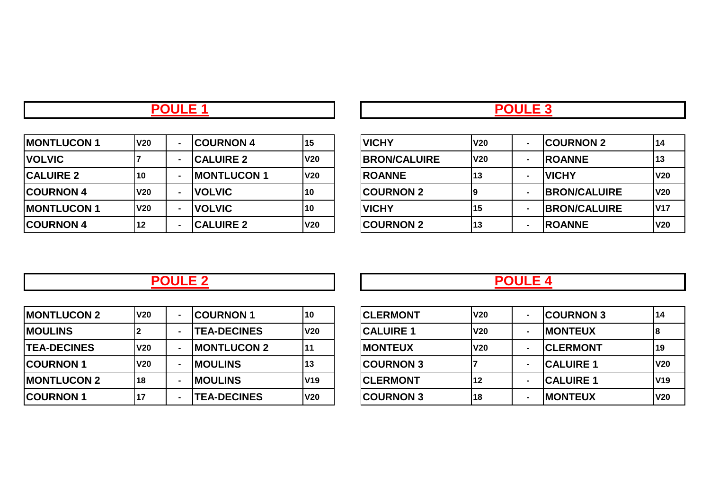## **POULE 1**

| <b>MONTLUCON 1</b> | IV20       | <b>ICOURNON 4</b>   | 15         | <b>IVICHY</b>        | <b>V20</b> | <b>COURNON 2</b>     | 114 |
|--------------------|------------|---------------------|------------|----------------------|------------|----------------------|-----|
| <b>VOLVIC</b>      |            | <b>CALUIRE 2</b>    | V20        | <b>IBRON/CALUIRE</b> | <b>V20</b> | <b>IROANNE</b>       | l13 |
| <b>CALUIRE 2</b>   | 10         | <b>IMONTLUCON 1</b> | <b>V20</b> | <b>IROANNE</b>       | '13        | <b>IVICHY</b>        | lV2 |
| <b>COURNON 4</b>   | lV20       | <b>VOLVIC</b>       | 10         | <b>COURNON 2</b>     |            | <b>IBRON/CALUIRE</b> | lV2 |
| <b>MONTLUCON 1</b> | <b>V20</b> | <b>IVOLVIC</b>      | 10         | <b>NICHY</b>         | '15        | <b>IBRON/CALUIRE</b> | IV1 |
| <b>COURNON 4</b>   | 12         | <b>CALUIRE 2</b>    | V20        | <b>COURNON 2</b>     | -13        | <b>IROANNE</b>       | lV2 |

### **POULE 3**

| <b>MONTLUCON 1</b> | <b>V20</b>      | <b>ICOURNON 4</b>   | l15        | <b>IVICHY</b>        | <b>V20</b> | <b>COURNON 2</b>     | <u> 114</u> |
|--------------------|-----------------|---------------------|------------|----------------------|------------|----------------------|-------------|
| <b>VOLVIC</b>      |                 | <b>CALUIRE 2</b>    | <b>V20</b> | <b>IBRON/CALUIRE</b> | <b>V20</b> | <b>IROANNE</b>       | 13          |
| <b>CALUIRE 2</b>   | l10             | <b>IMONTLUCON 1</b> | IV20       | <b>IROANNE</b>       | l13        | <b>VICHY</b>         | IV20        |
| <b>COURNON 4</b>   | V <sub>20</sub> | <b>IVOLVIC</b>      | 10         | <b>COURNON 2</b>     |            | <b>BRON/CALUIRE</b>  | IV20        |
| <b>MONTLUCON 1</b> | V <sub>20</sub> | <b>IVOLVIC</b>      | 10         | <b>IVICHY</b>        | 15         | <b>IBRON/CALUIRE</b> | <b>IV17</b> |
| <b>COURNON 4</b>   | 12              | <b>CALUIRE 2</b>    | V20        | <b>ICOURNON 2</b>    | 13         | <b>ROANNE</b>        | IV20        |

## **POULE 2**

| <b>MONTLUCON 2</b>  | <b>V20</b> | <b>ICOURNON1</b>    | l10 | <b>ICLERMONT</b> | <b>V20</b> | <b>ICOURNON 3</b> | 114         |
|---------------------|------------|---------------------|-----|------------------|------------|-------------------|-------------|
| <b>IMOULINS</b>     |            | <b>TEA-DECINES</b>  | V20 | <b>CALUIRE 1</b> | lV20       | <b>IMONTEUX</b>   |             |
| <b>ITEA-DECINES</b> | <b>V20</b> | <b>IMONTLUCON 2</b> |     | <b>IMONTEUX</b>  | lV20       | <b>CLERMONT</b>   | I19         |
| <b>ICOURNON1</b>    | V20        | <b>IMOULINS</b>     |     | <b>COURNON 3</b> |            | <b>ICALUIRE 1</b> | lV20        |
| <b>MONTLUCON 2</b>  | '18        | <b>IMOULINS</b>     | V19 | <b>ICLERMONT</b> | 12         | <b>ICALUIRE 1</b> | <b>IV19</b> |
| <b>ICOURNON1</b>    |            | <b>TEA-DECINES</b>  | V20 | <b>COURNON 3</b> | 118        | <b>IMONTEUX</b>   | IV20        |

**POULE 4**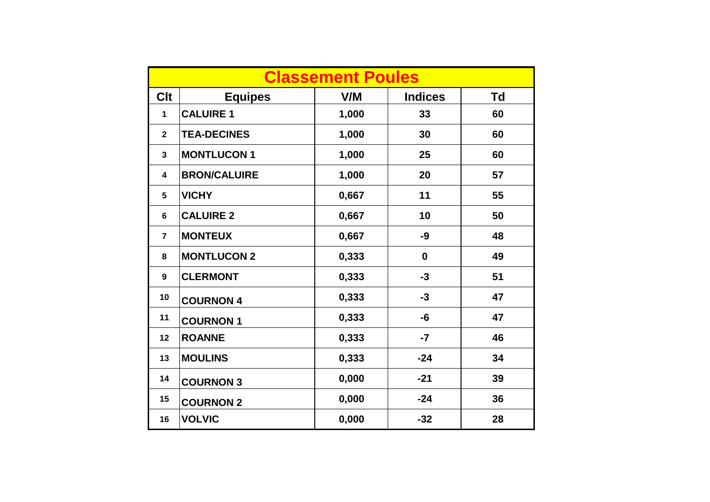|                |                     | <b>Classement Poules</b> |                |           |
|----------------|---------------------|--------------------------|----------------|-----------|
| <b>Clt</b>     | <b>Equipes</b>      | V/M                      | <b>Indices</b> | <b>Td</b> |
| 1              | <b>CALUIRE 1</b>    | 1,000                    | 33             | 60        |
| $\mathbf{2}$   | <b>TEA-DECINES</b>  | 1,000                    | 30             | 60        |
| $\mathbf{3}$   | <b>MONTLUCON 1</b>  | 1,000                    | 25             | 60        |
| 4              | <b>BRON/CALUIRE</b> | 1,000                    | 20             | 57        |
| 5              | <b>VICHY</b>        | 0,667                    | 11             | 55        |
| $6\phantom{a}$ | <b>CALUIRE 2</b>    | 0,667                    | 10             | 50        |
| $\overline{7}$ | <b>MONTEUX</b>      | 0,667                    | -9             | 48        |
| 8              | <b>MONTLUCON 2</b>  | 0,333                    | $\mathbf 0$    | 49        |
| 9              | <b>CLERMONT</b>     | 0,333                    | $-3$           | 51        |
| 10             | <b>COURNON 4</b>    | 0,333                    | $-3$           | 47        |
| 11             | <b>COURNON 1</b>    | 0,333                    | -6             | 47        |
| 12             | <b>ROANNE</b>       | 0,333                    | $-7$           | 46        |
| 13             | <b>MOULINS</b>      | 0,333                    | $-24$          | 34        |
| 14             | <b>COURNON 3</b>    | 0,000                    | $-21$          | 39        |
| 15             | <b>COURNON 2</b>    | 0,000                    | $-24$          | 36        |
| 16             | <b>VOLVIC</b>       | 0,000                    | $-32$          | 28        |